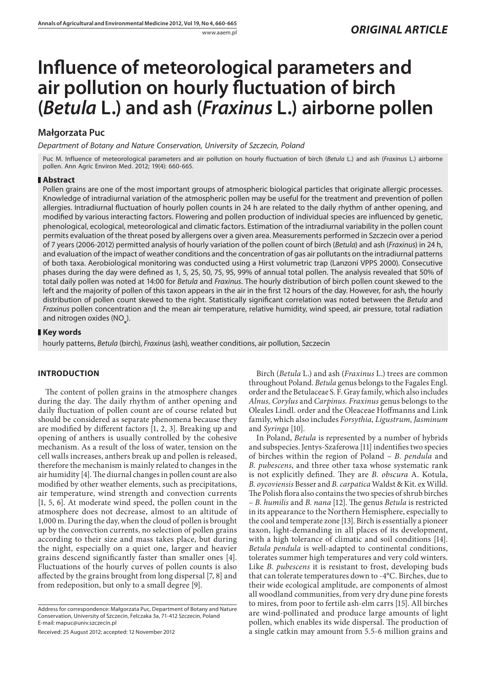# **Influence of meteorological parameters and** air pollution on hourly fluctuation of birch **(***Betula* **L.) and ash (***Fraxinus* **L.) airborne pollen**

# **Małgorzata Puc**

*Department of Botany and Nature Conservation, University of Szczecin, Poland*

Puc M. Influence of meteorological parameters and air pollution on hourly fluctuation of birch (*Betula* L.) and ash (*Fraxinu*s L.) airborne pollen. Ann Agric Environ Med. 2012; 19(4): 660-665.

# **Abstract**

Pollen grains are one of the most important groups of atmospheric biological particles that originate allergic processes. Knowledge of intradiurnal variation of the atmospheric pollen may be useful for the treatment and prevention of pollen allergies. Intradiurnal fluctuation of hourly pollen counts in 24 h are related to the daily rhythm of anther opening, and modified by various interacting factors. Flowering and pollen production of individual species are influenced by genetic, phenological, ecological, meteorological and climatic factors. Estimation of the intradiurnal variability in the pollen count permits evaluation of the threat posed by allergens over a given area. Measurements performed in Szczecin over a period of 7 years (2006-2012) permitted analysis of hourly variation of the pollen count of birch (*Betula*) and ash (*Fraxinus*) in 24 h, and evaluation of the impact of weather conditions and the concentration of gas air pollutants on the intradiurnal patterns of both taxa. Aerobiological monitoring was conducted using a Hirst volumetric trap (Lanzoni VPPS 2000). Consecutive phases during the day were defined as 1, 5, 25, 50, 75, 95, 99% of annual total pollen. The analysis revealed that 50% of total daily pollen was noted at 14:00 for *Betula* and *Fraxinus*. The hourly distribution of birch pollen count skewed to the left and the majority of pollen of this taxon appears in the air in the first 12 hours of the day. However, for ash, the hourly distribution of pollen count skewed to the right. Statistically significant correlation was noted between the *Betula* and *Fraxinus* pollen concentration and the mean air temperature, relative humidity, wind speed, air pressure, total radiation and nitrogen oxides (NO<sub>x</sub>).

# **Key words**

hourly patterns, *Betula* (birch), *Fraxinus* (ash), weather conditions, air pollution, Szczecin

# **INTRODUCTION**

The content of pollen grains in the atmosphere changes during the day. The daily rhythm of anther opening and daily fluctuation of pollen count are of course related but should be considered as separate phenomena because they are modified by different factors  $[1, 2, 3]$ . Breaking up and opening of anthers is usually controlled by the cohesive mechanism. As a result of the loss of water, tension on the cell walls increases, anthers break up and pollen is released, therefore the mechanism is mainly related to changes in the air humidity  $[4]$ . The diurnal changes in pollen count are also modified by other weather elements, such as precipitations, air temperature, wind strength and convection currents [1, 5, 6]. At moderate wind speed, the pollen count in the atmosphere does not decrease, almost to an altitude of 1,000 m. During the day, when the cloud of pollen is brought up by the convection currents, no selection of pollen grains according to their size and mass takes place, but during the night, especially on a quiet one, larger and heavier grains descend significantly faster than smaller ones [4]. Fluctuations of the hourly curves of pollen counts is also affected by the grains brought from long dispersal [7, 8] and from redeposition, but only to a small degree [9].

Received: 25 August 2012; accepted: 12 November 2012

Birch (*Betula* L.) and ash (*Fraxinus* L.) trees are common throughout Poland. *Betula* genus belongs to the Fagales Engl. order and the Betulaceae S. F. Gray family, which also includes *Alnus, Corylus* and *Carpinus. Fraxinus* genus belongs to the Oleales Lindl. order and the Oleaceae Hoffmanns and Link family, which also includes *Forsythia, Ligustrum, Jasminum*  and *Syringa* [10].

In Poland, *Betula* is represented by a number of hybrids and subspecies. Jentys-Szaferowa [11] indentifies two species of birches within the region of Poland – *B. pendula* and *B. pubescens*, and three other taxa whose systematic rank is not explicitly defined. They are *B. obscura* A. Kotula, *B. oycoviensis* Besser and *B. carpatica* Waldst & Kit. ex Willd. The Polish flora also contains the two species of shrub birches  $-$  *B. humilis* and *B. nana* [12]. The genus *Betula* is restricted in its appearance to the Northern Hemisphere, especially to the cool and temperate zone [13]. Birch is essentially a pioneer taxon, light-demanding in all places of its development, with a high tolerance of climatic and soil conditions [14]. *Betula pendula* is well-adapted to continental conditions, tolerates summer high temperatures and very cold winters. Like *B. pubescens* it is resistant to frost, developing buds that can tolerate temperatures down to -4°C. Birches, due to their wide ecological amplitude, are components of almost all woodland communities, from very dry dune pine forests to mires, from poor to fertile ash-elm carrs [15]. All birches are wind-pollinated and produce large amounts of light pollen, which enables its wide dispersal. The production of a single catkin may amount from 5.5-6 million grains and

Address for correspondence: Małgorzata Puc, Department of Botany and Nature Conservation, University of Szczecin, Felczaka 3a, 71-412 Szczecin, Poland E-mail: mapuc@univ.szczecin.pl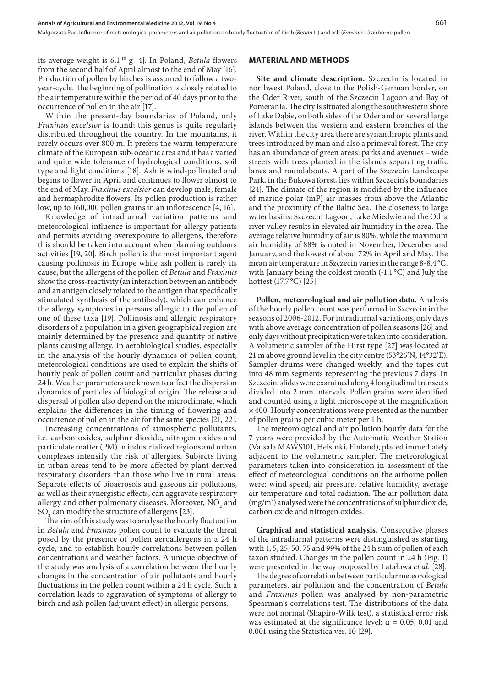Małgorzata Puc. Inuence of meteorological parameters and air pollution on hourly uctuation of birch (*Betula* L.) and ash (*Fraxinus* L.) airborne pollen

its average weight is 6.1<sup>-10</sup> g [4]. In Poland, *Betula* flowers from the second half of April almost to the end of May [16]. Production of pollen by birches is assumed to follow a twoyear-cycle. The beginning of pollination is closely related to the air temperature within the period of 40 days prior to the occurrence of pollen in the air [17].

Within the present-day boundaries of Poland, only *Fraxinus excelsior* is found; this genus is quite regularly distributed throughout the country. In the mountains, it rarely occurs over 800 m. It prefers the warm temperature climate of the European sub-oceanic area and it has a varied and quite wide tolerance of hydrological conditions, soil type and light conditions [18]. Ash is wind-pollinated and begins to flower in April and continues to flower almost to the end of May. *Fraxinus excelsior* can develop male, female and hermaphrodite flowers. Its pollen production is rather low, up to  $160,000$  pollen grains in an inflorescence  $[4, 16]$ .

Knowledge of intradiurnal variation patterns and meteorological influence is important for allergy patients and permits avoiding overexposure to allergens, therefore this should be taken into account when planning outdoors activities [19, 20]. Birch pollen is the most important agent causing pollinosis in Europe while ash pollen is rarely its cause, but the allergens of the pollen of *Betula* and *Fraxinus* show the cross-reactivity (an interaction between an antibody and an antigen closely related to the antigen that specifically stimulated synthesis of the antibody), which can enhance the allergy symptoms in persons allergic to the pollen of one of these taxa [19]. Pollinosis and allergic respiratory disorders of a population in a given geographical region are mainly determined by the presence and quantity of native plants causing allergy. In aerobiological studies, especially in the analysis of the hourly dynamics of pollen count, meteorological conditions are used to explain the shifts of hourly peak of pollen count and particular phases during 24 h. Weather parameters are known to affect the dispersion dynamics of particles of biological origin. The release and dispersal of pollen also depend on the microclimate, which explains the differences in the timing of flowering and occurrence of pollen in the air for the same species [21, 22].

Increasing concentrations of atmospheric pollutants, i.e. carbon oxides, sulphur dioxide, nitrogen oxides and particulate matter (PM) in industrialized regions and urban complexes intensify the risk of allergies. Subjects living in urban areas tend to be more affected by plant-derived respiratory disorders than those who live in rural areas. Separate effects of bioaerosols and gaseous air pollutions, as well as their synergistic effects, can aggravate respiratory allergy and other pulmonary diseases. Moreover,  $NO<sub>2</sub>$  and  $\mathrm{SO}_2^{\phantom{\dag}}$  can modify the structure of allergens [23].

The aim of this study was to analyse the hourly fluctuation in *Betula* and *Fraxinus* pollen count to evaluate the threat posed by the presence of pollen aeroallergens in a 24 h cycle, and to establish hourly correlations between pollen concentrations and weather factors. A unique objective of the study was analysis of a correlation between the hourly changes in the concentration of air pollutants and hourly uctuations in the pollen count within a 24 h cycle. Such a correlation leads to aggravation of symptoms of allergy to birch and ash pollen (adjuvant effect) in allergic persons.

#### **MATERIAL AND METHODS**

**Site and climate description.** Szczecin is located in northwest Poland, close to the Polish-German border, on the Oder River, south of the Szczecin Lagoon and Bay of Pomerania. The city is situated along the southwestern shore of Lake Dąbie, on both sides of the Oder and on several large islands between the western and eastern branches of the river. Within the city area there are synanthropic plants and trees introduced by man and also a primeval forest. The city has an abundance of green areas: parks and avenues – wide streets with trees planted in the islands separating traffic lanes and roundabouts. A part of the Szczecin Landscape Park, in the Bukowa forest, lies within Szczecin's boundaries  $[24]$ . The climate of the region is modified by the influence of marine polar (mP) air masses from above the Atlantic and the proximity of the Baltic Sea. The closeness to large water basins: Szczecin Lagoon, Lake Miedwie and the Odra river valley results in elevated air humidity in the area. The average relative humidity of air is 80%, while the maximum air humidity of 88% is noted in November, December and January, and the lowest of about 72% in April and May. The mean air temperature in Szczecin varies in the range 8-8.4 °C, with January being the coldest month (-1.1 °C) and July the hottest (17.7 °C) [25].

**Pollen, meteorological and air pollution data.** Analysis of the hourly pollen count was performed in Szczecin in the seasons of 2006-2012. For intradiurnal variations, only days with above average concentration of pollen seasons [26] and only days without precipitation were taken into consideration. A volumetric sampler of the Hirst type [27] was located at 21 m above ground level in the city centre (53°26'N, 14°32'E). Sampler drums were changed weekly, and the tapes cut into 48 mm segments representing the previous 7 days. In Szczecin, slides were examined along 4 longitudinal transects divided into 2 mm intervals. Pollen grains were identified and counted using a light microscope at the magnification  $\times$  400. Hourly concentrations were presented as the number of pollen grains per cubic meter per 1 h.

The meteorological and air pollution hourly data for the 7 years were provided by the Automatic Weather Station (Vaisala MAWS101, Helsinki, Finland), placed immediately adjacent to the volumetric sampler. The meteorological parameters taken into consideration in assessment of the effect of meteorological conditions on the airborne pollen were: wind speed, air pressure, relative humidity, average air temperature and total radiation. The air pollution data (mg/m3 ) analysed were the concentrations of sulphur dioxide, carbon oxide and nitrogen oxides.

**Graphical and statistical analysis.** Consecutive phases of the intradiurnal patterns were distinguished as starting with 1, 5, 25, 50, 75 and 99% of the 24 h sum of pollen of each taxon studied. Changes in the pollen count in 24 h (Fig. 1) were presented in the way proposed by Latałowa *et al.* [28].

The degree of correlation between particular meteorological parameters, air pollution and the concentration of *Betula* and *Fraxinus* pollen was analysed by non-parametric Spearman's correlations test. The distributions of the data were not normal (Shapiro-Wilk test), a statistical error risk was estimated at the significance level:  $\alpha = 0.05, 0.01$  and 0.001 using the Statistica ver. 10 [29].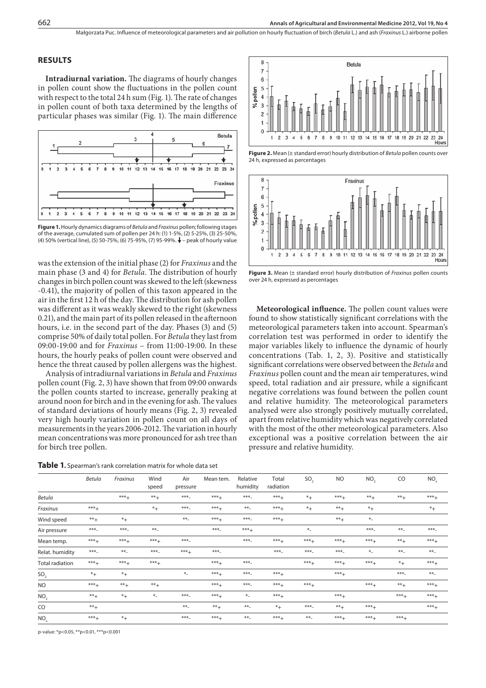### **RESULTS**

Intradiurnal variation. The diagrams of hourly changes in pollen count show the fluctuations in the pollen count with respect to the total 24 h sum (Fig. 1). The rate of changes in pollen count of both taxa determined by the lengths of particular phases was similar (Fig. 1). The main difference



Figure 1. Hourly dynamics diagrams of Betula and Fraxinus pollen; following stages of the average, cumulated sum of pollen per 24 h: (1) 1-5%, (2) 5-25%, (3) 25-50%, (4) 50% (vertical line), (5) 50-75%, (6) 75-95%, (7) 95-99%.  $\blacklozenge$  - peak of hourly value

was the extension of the initial phase (2) for *Fraxinus* and the main phase (3 and 4) for *Betula*. The distribution of hourly changes in birch pollen count was skewed to the left (skewness -0.41), the majority of pollen of this taxon appeared in the air in the first 12 h of the day. The distribution for ash pollen was different as it was weakly skewed to the right (skewness 0.21), and the main part of its pollen released in the afternoon hours, i.e. in the second part of the day. Phases (3) and (5) comprise 50% of daily total pollen. For Betula they last from 09:00-19:00 and for *Fraxinus* - from 11:00-19:00. In these hours, the hourly peaks of pollen count were observed and hence the threat caused by pollen allergens was the highest.

Analysis of intradiurnal variations in Betula and Fraxinus pollen count (Fig. 2, 3) have shown that from 09:00 onwards the pollen counts started to increase, generally peaking at around noon for birch and in the evening for ash. The values of standard deviations of hourly means (Fig. 2, 3) revealed very high hourly variation in pollen count on all days of measurements in the years 2006-2012. The variation in hourly mean concentrations was more pronounced for ash tree than for birch tree pollen.

Table 1. Spearman's rank correlation matrix for whole data set



Figure 2. Mean (± standard error) hourly distribution of Betula pollen counts over 24 h, expressed as percentages



Figure 3. Mean  $(\pm$  standard error) hourly distribution of Fraxinus pollen counts over 24 h, expressed as percentages

Meteorological influence. The pollen count values were found to show statistically significant correlations with the meteorological parameters taken into account. Spearman's correlation test was performed in order to identify the major variables likely to influence the dynamic of hourly concentrations (Tab. 1, 2, 3). Positive and statistically significant correlations were observed between the Betula and Fraxinus pollen count and the mean air temperatures, wind speed, total radiation and air pressure, while a significant negative correlations was found between the pollen count and relative humidity. The meteorological parameters analysed were also strongly positively mutually correlated, apart from relative humidity which was negatively correlated with the most of the other meteorological parameters. Also exceptional was a positive correlation between the air pressure and relative humidity.

|                        | <b>Betula</b> | Fraxinus | Wind<br>speed | Air<br>pressure | Mean tem. | Relative<br>humidity | Total<br>radiation | SO <sub>2</sub> | <b>NO</b> | NO <sub>2</sub> | CO      | NO <sub>x</sub> |
|------------------------|---------------|----------|---------------|-----------------|-----------|----------------------|--------------------|-----------------|-----------|-----------------|---------|-----------------|
| <b>Betula</b>          |               | $***+$   | $***+$        | $*** -$         | $***+$    | $***_$               | $***+$             | $*$ +           | $***+$    | $***+$          | $***+$  | $***+$          |
| Fraxinus               | $***+$        |          | $*_{+}$       | $***-$          | $***+$    | $***$                | $***+$             | $*_{+}$         | $***+$    | $*_{+}$         |         | $*_{+}$         |
| Wind speed             | $***+$        | $*$ +    |               | $***$           | $***+$    | $***-$               | $***+$             |                 | $***+$    | $\star_-$       |         |                 |
| Air pressure           | $***-$        | $***-$   | $***$         |                 | $***$     | $***+$               |                    | $\star_-$       |           | $***-$          | $***$   | $***-$          |
| Mean temp.             | $***+$        | $***+$   | $***+$        | $*** -$         |           | $***_$               | *** <sub>+</sub>   | $***+$          | $***+$    | $***+$          | $***+$  | $***+$          |
| Relat. humidity        | $***-$        | $**_-$   | $***_$        | $***+$          | $***$     |                      | $*** -$            | $*** -$         | $***-$    | $*$             | $***$   | $**$            |
| <b>Total radiation</b> | $***+$        | $***+$   | $***+$        |                 | $***+$    | $***-$               |                    | $***+$          | $***+$    | $***+$          | $*_{+}$ | $***+$          |
| SO <sub>2</sub>        | $*_{+}$       | $*_{+}$  |               | $\ast_-$        | $***+$    | $***_$               | *** <sub>+</sub>   |                 | $***+$    |                 | $***-$  | $***$           |
| <b>NO</b>              | $***+$        | $***+$   | $***+$        |                 | $***+$    | $*** -$              | $***+$             | $***+$          |           | $***+$          | $***+$  | $***+$          |
| NO <sub>2</sub>        | $***+$        | $*_{+}$  | $\ast_-$      | $***-$          | $***+$    | $\ast_-$             | $***+$             |                 | $***+$    |                 | $***+$  | $***+$          |
| CO                     | $***+$        |          |               | $***$           | $***+$    | $***$                | $*_{+}$            | $***-$          | $***+$    | $***+$          |         | $***+$          |
| NO <sub>x</sub>        | $***+$        | $*_{+}$  |               | $*** -$         | $***+$    | $***$                | *** <sub>+</sub>   | $**$            | $***+$    | $***+$          | $***+$  |                 |

p-value: \*p<0.05, \*\*p<0.01, \*\*\*p<0.001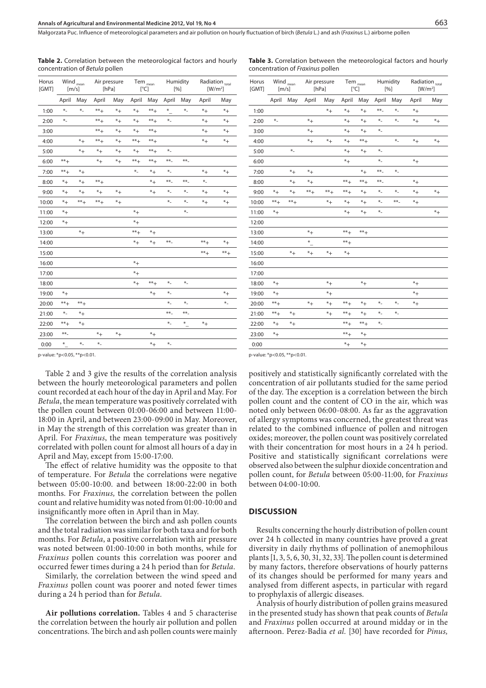Air pressure [hPa]

Małgorzata Puc. Inuence of meteorological parameters and air pollution on hourly uctuation of birch (*Betula* L.) and ash (*Fraxinus* L.) airborne pollen

Radiation <sub>total</sub>  $[W/m^2]$ 

**Table 2.** Correlation between the meteorological factors and hourly concentration of *Betula* pollen

Tem <sub>mean</sub>  $[^{\circ}C]$ 

Humidity [%]

|                | <b>Table 3.</b> Correlation between the meteorological factors and hourly<br>concentration of <i>Fraxinus</i> pollen |         |                       |         |                                                             |         |                 |     |                              |         |
|----------------|----------------------------------------------------------------------------------------------------------------------|---------|-----------------------|---------|-------------------------------------------------------------|---------|-----------------|-----|------------------------------|---------|
| Horus<br>[GMT] | $\ensuremath{\mathsf{Wind}}\xspace_{\mathsf{mean}}$<br>$\lceil m/s \rceil$                                           |         | Air pressure<br>[hPa] |         | $\mathsf{Tem}_{\mathsf{mean}}$<br>$\lceil{^{\circ}C}\rceil$ |         | Humidity<br>[%] |     | Radiation total<br>$[W/m^2]$ |         |
|                | April                                                                                                                | May     | April                 | May     | April                                                       | May     | April           | May | April                        | May     |
| 1:00           |                                                                                                                      |         |                       | $*_{+}$ | $*_{+}$                                                     | $*_{+}$ | $***-$          | $*$ | $^*+$                        |         |
| 2:00           | $*$                                                                                                                  |         | $*_{+}$               |         | $*_{+}$                                                     | $*_{+}$ | $*$             | $*$ | $*_{+}$                      | $*_{+}$ |
| 3:00           |                                                                                                                      |         | $* +$                 |         | $*_{+}$                                                     | $*_{+}$ | $*$             |     |                              |         |
| 4:00           |                                                                                                                      |         | $* +$                 | $*_{+}$ | $*_{+}$                                                     | $***+$  |                 | $*$ | $*_{+}$                      | $*$ +   |
| 5:00           |                                                                                                                      | $*$     |                       |         | $*_{+}$                                                     | $*_{+}$ | $*$             |     |                              |         |
| 6:00           |                                                                                                                      |         |                       |         | $*_{+}$                                                     |         | $*$             |     | $*_{+}$                      |         |
| 7:00           |                                                                                                                      | $*_{+}$ | $^*+$                 |         |                                                             | $*_{+}$ | $***$           | $*$ |                              |         |
| 8.00           |                                                                                                                      | $*_{+}$ | $*_{+}$               |         | $***+$                                                      | $***+$  | $***$           |     | $*_{+}$                      |         |

|       | April             | May            | April          | May         | April          | May               | April    | May      | April             | May       |
|-------|-------------------|----------------|----------------|-------------|----------------|-------------------|----------|----------|-------------------|-----------|
| 1:00  | $\ast_-$          | $\ast_-$       | $^{\ast\ast}+$ | $*$ +       | $*_{+}$        | $^{\ast\ast}+$    | $\ast$   | $\ast_-$ | $^\ast +$         | $^\ast +$ |
| 2:00  | $*$               |                | $^{\ast\ast}+$ | $*_{+}$     | $*_{+}$        | $^{\ast\ast}+$    | $*$      |          | $^\ast +$         | $*_{+}$   |
| 3:00  |                   |                | $^{\ast\ast}+$ | $^\ast +$   | $^\ast +$      | $^{\ast\ast}+$    |          |          | $^\ast +$         | $^\ast +$ |
| 4:00  |                   | $*_{+}$        | $^{\ast\ast}+$ | $^{\ast +}$ | $^{\ast\ast}+$ | $^{\ast\ast}+$    |          |          | $^\ast +$         | $*_{+}$   |
| 5:00  |                   | $*_{+}$        | $^\ast +$      | $^\ast +$   | $^\ast +$      | $^{\ast\ast}+$    | $\ast_-$ |          |                   |           |
| 6:00  | $***+$            |                | $*_{+}$        | $^\ast +$   | $** +$         | $***+$            | $***$    | $***$    |                   |           |
| 7:00  | $^{\ast\ast}{}^+$ | $*_{+}$        |                |             | $\ast_-$       | $*_{+}$           | $*$      |          | $*_{+}$           | $*_{+}$   |
| 8:00  | $*_{+}$           | $*_{+}$        | $^{\ast\ast}+$ |             |                | $*$ +             | $**_-$   | $**_-$   | $*$               |           |
| 9:00  | $*_{+}$           | $^\ast +$      | $^\ast +$      | $^\ast +$   |                | $^*+$             | $*$      | $\ast_-$ | $*_{+}$           | $*$ +     |
| 10:00 | $^{\ast}+$        | $^{\ast\ast}+$ | $^{\ast\ast}+$ | $^\ast +$   |                |                   | $*$      | $*$      | $^{\ast +}$       | $\ast_+$  |
| 11:00 | $^{\ast}+$        |                |                |             | $*_{+}$        |                   |          | $\ast_-$ |                   |           |
| 12:00 | $^{\ast}+$        |                |                |             | $^\ast +$      |                   |          |          |                   |           |
| 13:00 |                   | $*_{+}$        |                |             | $***+$         | $*_{+}$           |          |          |                   |           |
| 14:00 |                   |                |                |             | $^\ast +$      | $*$ +             | $**_-$   |          | $^{\ast\ast}+$    | $\ast_+$  |
| 15:00 |                   |                |                |             |                |                   |          |          | $^{\ast\ast}{}^+$ | $***+$    |
| 16:00 |                   |                |                |             | $*_{+}$        |                   |          |          |                   |           |
| 17:00 |                   |                |                |             | $^\ast +$      |                   |          |          |                   |           |
| 18:00 |                   |                |                |             | $^*+$          | $^{\ast\ast}{}^+$ | $*$      | $\ast_-$ |                   |           |
| 19:00 | $*$ +             |                |                |             |                | $*_{+}$           | $*$      |          |                   | $*$ +     |
| 20:00 | $^{\ast\ast}{}^+$ | $***+$         |                |             |                |                   | $*$      | $*$      |                   | $*$       |
| 21:00 | $\ast_-$          | $*_{+}$        |                |             |                |                   | $***$    | $**_-$   |                   |           |
| 22:00 | $^{\ast\ast}+$    | $^\ast +$      |                |             |                |                   | $*$      | $\ast$   | $*_{+}$           |           |
| 23:00 | $***-$            |                | $^{\ast +}$    | $*_{+}$     |                | $^\ast +$         |          |          |                   |           |
| 0:00  | $\cdot$ $\cdot$   | $*$            | $*$            |             |                | $^*+$             | $\ast_-$ |          |                   |           |
|       |                   |                |                |             |                |                   |          |          |                   |           |

p-value: \*p<0.05, \*\*p<0.01.

Horus [GMT] **Wind**  $[m/s]$ 

Table 2 and 3 give the results of the correlation analysis between the hourly meteorological parameters and pollen count recorded at each hour of the day in April and May. For *Betula*, the mean temperature was positively correlated with the pollen count between 01:00-06:00 and between 11:00- 18:00 in April, and between 23:00-09:00 in May. Moreover, in May the strength of this correlation was greater than in April. For *Fraxinus*, the mean temperature was positively correlated with pollen count for almost all hours of a day in April and May, except from 15:00-17:00.

The effect of relative humidity was the opposite to that of temperature. For *Betula* the correlations were negative between 05:00-10:00. and between 18:00-22:00 in both months. For *Fraxinus,* the correlation between the pollen count and relative humidity was noted from 01:00-10:00 and insignificantly more often in April than in May.

The correlation between the birch and ash pollen counts and the total radiation was similar for both taxa and for both months. For *Betula*, a positive correlation with air pressure was noted between 01:00-10:00 in both months, while for *Fraxinus* pollen counts this correlation was poorer and occurred fewer times during a 24 h period than for *Betula*.

Similarly, the correlation between the wind speed and *Fraxinus* pollen count was poorer and noted fewer times during a 24 h period than for *Betula.*

**Air pollutions correlation.** Tables 4 and 5 characterise the correlation between the hourly air pollution and pollen concentrations. The birch and ash pollen counts were mainly

| 4:00  |                 |            | $*_{+}$   | $^{\ast +}$ | $^\ast +$      | $^{\ast\ast}+$ |          | $\ast_-$ | $^\ast +$ | $\ast_+$ |
|-------|-----------------|------------|-----------|-------------|----------------|----------------|----------|----------|-----------|----------|
| 5:00  |                 | $\ast_-$   |           |             | $*_{+}$        | $\ast_+$       | $\ast_-$ |          |           |          |
| 6:00  |                 |            |           |             | $^{\ast}+$     |                | $*$      |          | $*_{+}$   |          |
| 7:00  |                 | $^\ast +$  | $*_{+}$   |             |                | $^\ast +$      | $***-$   | $\ast_-$ |           |          |
| 8:00  |                 | $*_{+}$    | $^\ast +$ |             | $^{\ast\ast}+$ | $** +$         | $***$    |          | $^*+$     |          |
| 9:00  | $\ast_+$        | $^{\ast}+$ | $***+$    | $***+$      | $***+$         | $^\ast +$      | $\ast_-$ | $\ast_-$ | $*_{+}$   | $*_{+}$  |
| 10:00 | $^{\ast\ast}+$  | $***+$     |           | $^\ast +$   | $^\ast +$      | $^\ast +$      | $\ast_-$ | $***-$   | $*$ +     |          |
| 11:00 | $^{\ast}+$      |            |           |             | $*_{+}$        | $*_{+}$        | $\ast_-$ |          |           | $*_{+}$  |
| 12:00 |                 |            |           |             |                |                |          |          |           |          |
| 13:00 |                 |            | $*_{+}$   |             | $^{\ast\ast}+$ | $^{\ast\ast}+$ |          |          |           |          |
| 14:00 |                 |            | $\ast$    |             | $***+$         |                |          |          |           |          |
| 15:00 |                 | $*$ +      | $*_{+}$   | $*_{+}$     | $^{\ast}+$     |                |          |          |           |          |
| 16:00 |                 |            |           |             |                |                |          |          |           |          |
| 17:00 |                 |            |           |             |                |                |          |          |           |          |
| 18:00 | $*_{+}$         |            |           | $^\ast +$   |                | $*_{+}$        |          |          | $*_{+}$   |          |
| 19:00 | $*$ +           |            |           | $*$ +       |                |                |          |          | $*_{+}$   |          |
| 20:00 | $^{\ast\ast}+$  |            | $*_{+}$   | $*_{+}$     | $^{\ast\ast}+$ | $*_{+}$        | $\ast_-$ | $\ast_-$ | $*_{+}$   |          |
| 21:00 | $^{\ast\ast}$ + | $^{\ast}+$ |           | $^\ast +$   | $^{\ast\ast}+$ | $*_{+}$        | $*$      | $*$      |           |          |
| 22:00 | $*_{+}$         | $^\ast +$  |           |             | $^{\ast\ast}+$ | $^{\ast\ast}+$ | $\ast_-$ |          |           |          |
| 23:00 | $*_{+}$         |            |           |             | $^{\ast\ast}+$ | $*_{+}$        |          |          |           |          |
| 0:00  |                 |            |           |             | $*_{+}$        | $*_{+}$        |          |          |           |          |
|       |                 |            |           |             |                |                |          |          |           |          |

p-value: \*p<0.05, \*\*p<0.01.

positively and statistically signicantly correlated with the concentration of air pollutants studied for the same period of the day. The exception is a correlation between the birch pollen count and the content of CO in the air, which was noted only between 06:00-08:00. As far as the aggravation of allergy symptoms was concerned, the greatest threat was related to the combined influence of pollen and nitrogen oxides; moreover, the pollen count was positively correlated with their concentration for most hours in a 24 h period. Positive and statistically significant correlations were observed also between the sulphur dioxide concentration and pollen count, for *Betula* between 05:00-11:00, for *Fraxinus* between 04:00-10:00.

#### **DISCUSSION**

Results concerning the hourly distribution of pollen count over 24 h collected in many countries have proved a great diversity in daily rhythms of pollination of anemophilous plants [1, 3, 5, 6, 30, 31, 32, 33]. The pollen count is determined by many factors, therefore observations of hourly patterns of its changes should be performed for many years and analysed from different aspects, in particular with regard to prophylaxis of allergic diseases.

Analysis of hourly distribution of pollen grains measured in the presented study has shown that peak counts of *Betula* and *Fraxinus* pollen occurred at around midday or in the afternoon. Perez-Badia et al. [30] have recorded for *Pinus*,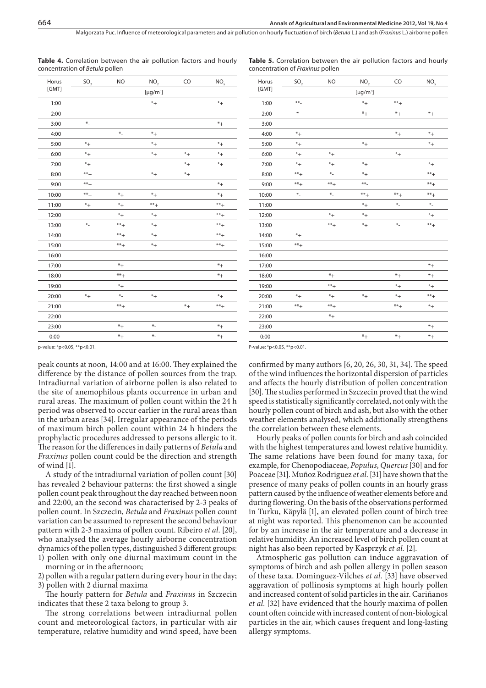Małgorzata Puc. Inuence of meteorological parameters and air pollution on hourly uctuation of birch (*Betula* L.) and ash (*Fraxinus* L.) airborne pollen

Horus

| Horus | SO <sub>2</sub> | <b>NO</b>      | NO <sub>2</sub>            | CO        | $NO_{\rm x}$   |
|-------|-----------------|----------------|----------------------------|-----------|----------------|
| [GMT] |                 |                | [ $\mu$ g/m <sup>3</sup> ] |           |                |
| 1:00  |                 |                | $*_{+}$                    |           | $^\ast +$      |
| 2:00  |                 |                |                            |           |                |
| 3:00  | $\ast_-$        |                |                            |           | $\ast_+$       |
| 4:00  |                 | $*$            | $\ast_+$                   |           |                |
| 5:00  | $^\ast +$       |                | $\ast_+$                   |           | $*$ +          |
| 6:00  | $^\ast +$       |                | $*_{+}$                    | $*_{+}$   | $*$ +          |
| 7:00  | $^\ast +$       |                |                            | $*$ +     | $^{\ast}+$     |
| 8:00  | $^{**}+$        |                | $*_{+}$                    | $^\ast +$ |                |
| 9:00  | $***+$          |                |                            |           | $*_{+}$        |
| 10:00 | $**$ +          | $*_{+}$        | $*_{+}$                    |           | $*$ +          |
| 11:00 | $^\ast +$       | $*_{+}$        | $^{\ast\ast}+$             |           | $***+$         |
| 12:00 |                 | $*_{+}$        | $*_{+}$                    |           | $^{\ast\ast}+$ |
| 13:00 | $\ast_-$        | $***+$         | $^\ast +$                  |           | $***+$         |
| 14:00 |                 | $^{\ast\ast}+$ | $\ast_+$                   |           | $^{\ast\ast}+$ |
| 15:00 |                 | $^{\ast\ast}+$ | $*_{+}$                    |           | $***+$         |
| 16:00 |                 |                |                            |           |                |
| 17:00 |                 | $*_{+}$        |                            |           | $*_{+}$        |
| 18:00 |                 | $***+$         |                            |           | $^*+$          |
| 19:00 |                 | $^\ast +$      |                            |           |                |
| 20:00 | $^\ast +$       | $*$            | $*_{+}$                    |           | $*$ +          |
| 21:00 |                 | $***+$         |                            | $*_{+}$   | $***+$         |
| 22:00 |                 |                |                            |           |                |
| 23:00 |                 | $*_{+}$        | $*$                        |           | $^*+$          |
| 0:00  |                 | $*_{+}$        | $*$                        |           | $*$ +          |
|       |                 |                |                            |           |                |

**Table 4.** Correlation between the air pollution factors and hourly concentration of *Betula* pollen

**Table 5.** Correlation between the air pollution factors and hourly concentration of *Fraxinus* pollen

| Horus | SO <sub>2</sub> | NO.       | NO <sub>2</sub>            | CO             | $NO_{x}$       |
|-------|-----------------|-----------|----------------------------|----------------|----------------|
| [GMT] |                 |           | [ $\mu$ g/m <sup>3</sup> ] |                |                |
| 1:00  | $***$           |           | $^\ast +$                  | $^{\ast\ast}+$ |                |
| 2:00  | $*$             |           | $*_{+}$                    | $^\ast +$      | $*_{+}$        |
| 3:00  |                 |           |                            |                |                |
| 4:00  | $^\ast +$       |           |                            | $\ast_+$       | $\ast_+$       |
| 5:00  | $*_{+}$         |           | $*_{+}$                    |                | $^*+$          |
| 6:00  | $*_{+}$         | $^\ast +$ |                            | $\ast_+$       |                |
| 7:00  | $^\ast +$       | $\ast_+$  | $^\ast +$                  |                | $\ast_+$       |
| 8:00  | $^{\ast\ast}+$  | $*$       | $^\ast +$                  |                | $^{\ast\ast}+$ |
| 9:00  | $^{\ast\ast}+$  | $**+$     | $***$                      |                | $***+$         |
| 10:00 | $*$             | $*$       | $**+$                      | $^{\ast\ast}+$ | $^{\ast\ast}+$ |
| 11:00 |                 |           | $*$ +                      | $\ast_-$       | $\ast_-$       |
| 12:00 |                 | $*_{+}$   | $*$ +                      |                | $*_{+}$        |
| 13:00 |                 | $***+$    | $^\ast +$                  | $*$            | $^{\ast\ast}+$ |
| 14:00 | $^\ast +$       |           |                            |                |                |
| 15:00 | $^{\ast\ast}+$  |           |                            |                |                |
| 16:00 |                 |           |                            |                |                |
| 17:00 |                 |           |                            |                | $\ast_+$       |
| 18:00 |                 | $^\ast +$ |                            | $^\ast +$      | $^{\ast +}$    |
| 19:00 |                 | $***+$    |                            | $^\ast +$      | $\ast_+$       |
| 20:00 | $\ast_+$        | $\ast_+$  | $^\ast +$                  | $\ast_+$       | $***+$         |
| 21:00 | $^{\ast\ast}+$  | $***+$    |                            | $***+$         | $\ast_+$       |
| 22:00 |                 | $\ast_+$  |                            |                |                |
| 23:00 |                 |           |                            |                | $^*+$          |
| 0:00  |                 |           | $*$ +                      | $^\ast +$      | $^\ast +$      |

p-value: \*p<0.05, \*\*p<0.01.

peak counts at noon, 14:00 and at 16:00. They explained the difference by the distance of pollen sources from the trap. Intradiurnal variation of airborne pollen is also related to the site of anemophilous plants occurrence in urban and rural areas. The maximum of pollen count within the 24 h period was observed to occur earlier in the rural areas than in the urban areas [34]. Irregular appearance of the periods of maximum birch pollen count within 24 h hinders the prophylactic procedures addressed to persons allergic to it. The reason for the differences in daily patterns of *Betula* and *Fraxinus* pollen count could be the direction and strength of wind [1].

A study of the intradiurnal variation of pollen count [30] has revealed 2 behaviour patterns: the first showed a single pollen count peak throughout the day reached between noon and 22:00, an the second was characterised by 2-3 peaks of pollen count. In Szczecin, *Betula* and *Fraxinus* pollen count variation can be assumed to represent the second behaviour pattern with 2-3 maxima of pollen count. Ribeiro *et al*. [20], who analysed the average hourly airborne concentration dynamics of the pollen types, distinguished 3 different groups: 1) pollen with only one diurnal maximum count in the

morning or in the afternoon;

2) pollen with a regular pattern during every hour in the day; 3) pollen with 2 diurnal maxima

e hourly pattern for *Betula* and *Fraxinus* in Szczecin indicates that these 2 taxa belong to group 3.

The strong correlations between intradiurnal pollen count and meteorological factors, in particular with air temperature, relative humidity and wind speed, have been P-value: \*p<0.05, \*\*p<0.01.

confirmed by many authors  $[6, 20, 26, 30, 31, 34]$ . The speed of the wind influences the horizontal dispersion of particles and affects the hourly distribution of pollen concentration [30]. The studies performed in Szczecin proved that the wind speed is statistically significantly correlated, not only with the hourly pollen count of birch and ash, but also with the other weather elements analysed, which additionally strengthens the correlation between these elements.

Hourly peaks of pollen counts for birch and ash coincided with the highest temperatures and lowest relative humidity. The same relations have been found for many taxa, for example, for Chenopodiaceae, *Populus*, *Quercus* [30] and for Poaceae [31]. Muñoz Rodriguez *et al*. [31] have shown that the presence of many peaks of pollen counts in an hourly grass pattern caused by the influence of weather elements before and during flowering. On the basis of the observations performed in Turku, Käpylä [1], an elevated pollen count of birch tree at night was reported. This phenomenon can be accounted for by an increase in the air temperature and a decrease in relative humidity. An increased level of birch pollen count at night has also been reported by Kasprzyk *et al.* [2].

Atmospheric gas pollution can induce aggravation of symptoms of birch and ash pollen allergy in pollen season of these taxa. Dominguez-Vilches *et al.* [33] have observed aggravation of pollinosis symptoms at high hourly pollen and increased content of solid particles in the air. Cariñanos *et al.* [32] have evidenced that the hourly maxima of pollen count often coincide with increased content of non-biological particles in the air, which causes frequent and long-lasting allergy symptoms.